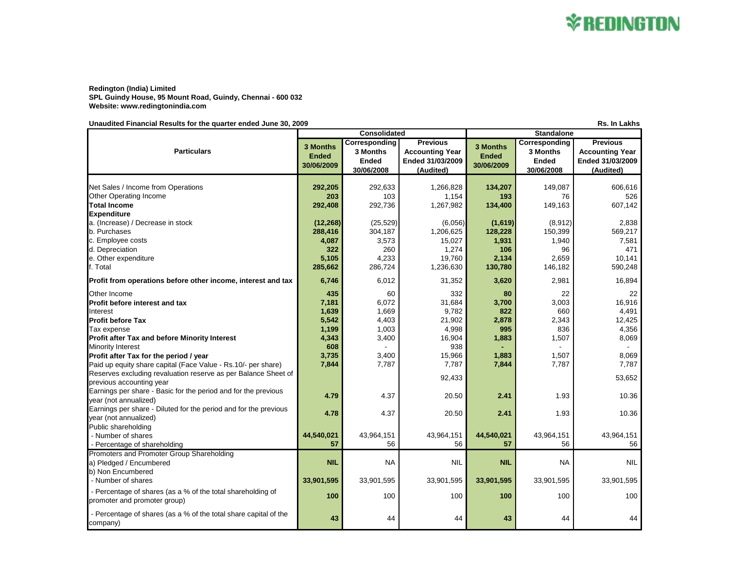

## **Redington (India) Limited SPL Guindy House, 95 Mount Road, Guindy, Chennai - 600 032 Website: www.redingtonindia.com**

**Unaudited Financial Results for the quarter ended June 30, 2009 Rs. In Lakhs**

**3 Months Ended 30/06/2009 Corresponding 3 Months Ended 30/06/2008 Previous Accounting Year Ended 31/03/2009 (Audited) 3 Months Ended 30/06/2009 Corresponding 3 Months Ended 30/06/2008 Previous Accounting Year Ended 31/03/2009 (Audited)** Net Sales / Income from Operations **292,205** 292,205 292,633 **202,633** 1,266,828 1,266,828 134,207 149,087 606,616 **Other Operating Income** 203 **103 1,154 193** 76 76 526 **Total Income 292,408** 292,736 1,267,982 **134,400** 149,163 607,142 **Expenditure** a. (Increase) / Decrease in stock **(12,268)** (25,529) (6,056) **(1,619)** (8,912) 2,838 b. Purchases **288,416** 304,187 1,206,625 **128,228** 150,399 569,217 c. Employee costs **4,087** 3,573 15,027 **1,931** 1,940 7,581 d. Depreciation **322** 260 1,274 **106** 96 471 e. Other expenditure **5,105** 4,233 19,760 **2,134** 2,659 10,141 f. Total **285,662** 286,724 1,236,630 **130,780** 146,182 590,248 **Profit from operations before other income, interest and tax 6,746 6,012 31,352 3,620 2,981 2,981 16,894** Other Income **435** 60 332 **80** 22 22 **Profit before interest and tax 7,181** 6,072 31,684 **3,700** 3,003 16,916 Interest **1,639** 1,669 9,782 **822** 660 4,491 **Profit before Tax 5,542** 4,403 21,902 **2,878** 2,343 12,425 Tax expense **1,199** 1,003 4,998 **995** 836 4,356 **Profit after Tax and before Minority Interest 18,009 16,4343** 3,400 16,904 16,904 1,883 1,507 1,507 8,069 Minority Interest **608** - 938 **-** - - **Profit after Tax for the period / year 3,009 15,966** 1,883 1,507 1,507 8,069 8,069 Paid up equity share capital (Face Value - Rs.10/- per share) **7,844** 7,787 7,787 7,787 7,787 7,787 7,787 7,787 Reserves excluding revaluation reserve as per Balance Sheet of previous accounting year exclude the serve as per Datance Once: or and the server of the server of the server o<br>previous accounting year and the server of the server of the server of the server of the server of the server Earnings per share - Basic for the period and for the previous year (not annualized) **4.79** 4.37 20.50 **2.41** 1.93 10.36 Earnings per share - Diluted for the period and for the previous year (not annualized) **4.78** 4.37 20.50 **2.41** 1.93 10.36 Public shareholding - Number of shares **44,540,021** 43,964,151 43,964,151 **44,540,021** 43,964,151 43,964,151 - Percentage of shareholding **57** 56 56 **57** 56 56 Promoters and Promoter Group Shareholding a) Pledged / Encumbered **NIL NIL NA NIL NA NIL NIL NIL NA NIL NIL NA NIL NA NIL NA NIL NA NIL NA NIL NIL NA NIL N** b) Non Encumbered - Number of shares **33,901,595** 33,901,595 33,901,595 **33,901,595** 33,901,595 33,901,595 - Percentage of shares (as a % of the total shareholding of promoter and promoter group) **100** 100 100 **100** 100 100 - Percentage of shares (as a % of the total share capital of the company) **43** 44 44 **43** 44 44 **Particulars Consolidated Standalone**